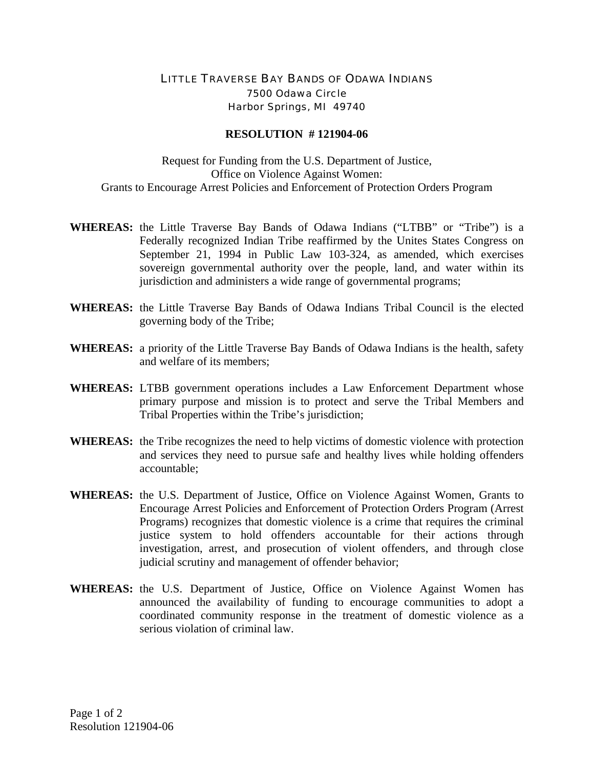## LITTLE TRAVERSE BAY BANDS OF ODAWA INDIANS 7500 Odawa Circle Harbor Springs, MI 49740

## **RESOLUTION # 121904-06**

Request for Funding from the U.S. Department of Justice, Office on Violence Against Women: Grants to Encourage Arrest Policies and Enforcement of Protection Orders Program

- **WHEREAS:** the Little Traverse Bay Bands of Odawa Indians ("LTBB" or "Tribe") is a Federally recognized Indian Tribe reaffirmed by the Unites States Congress on September 21, 1994 in Public Law 103-324, as amended, which exercises sovereign governmental authority over the people, land, and water within its jurisdiction and administers a wide range of governmental programs;
- **WHEREAS:** the Little Traverse Bay Bands of Odawa Indians Tribal Council is the elected governing body of the Tribe;
- **WHEREAS:** a priority of the Little Traverse Bay Bands of Odawa Indians is the health, safety and welfare of its members;
- **WHEREAS:** LTBB government operations includes a Law Enforcement Department whose primary purpose and mission is to protect and serve the Tribal Members and Tribal Properties within the Tribe's jurisdiction;
- **WHEREAS:** the Tribe recognizes the need to help victims of domestic violence with protection and services they need to pursue safe and healthy lives while holding offenders accountable;
- **WHEREAS:** the U.S. Department of Justice, Office on Violence Against Women, Grants to Encourage Arrest Policies and Enforcement of Protection Orders Program (Arrest Programs) recognizes that domestic violence is a crime that requires the criminal justice system to hold offenders accountable for their actions through investigation, arrest, and prosecution of violent offenders, and through close judicial scrutiny and management of offender behavior;
- **WHEREAS:** the U.S. Department of Justice, Office on Violence Against Women has announced the availability of funding to encourage communities to adopt a coordinated community response in the treatment of domestic violence as a serious violation of criminal law.